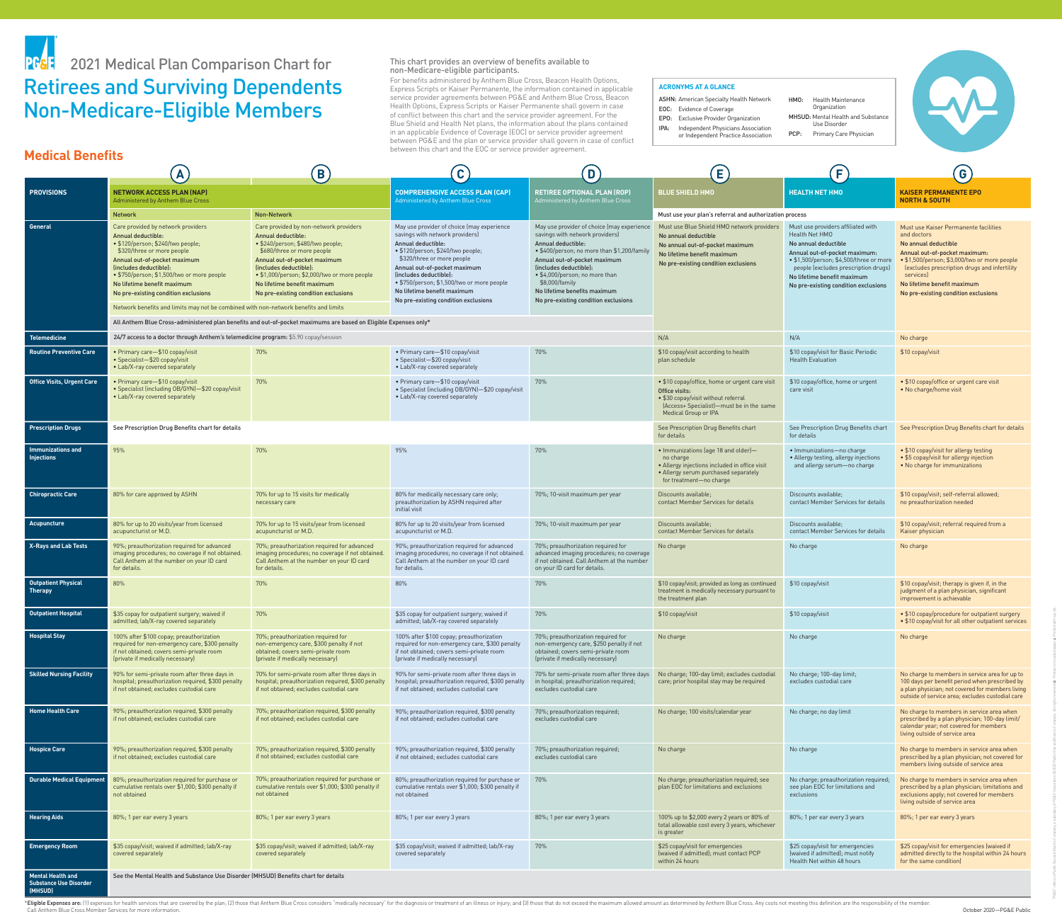This chart provides an overview of benefits available to non-Medicare-eligible participants. For benefits administered by Anthem Blue Cross, Beacon Health Options, Express Scripts or Kaiser Permanente, the information contained in applicable service provider agreements between PG&E and Anthem Blue Cross, Beacon Health Options, Express Scripts or Kaiser Permanente shall govern in case of conflict between this chart and the service provider agreement. For the Blue Shield and Health Net plans, the information about the plans contained in an applicable Evidence of Coverage (EOC) or service provider agreement between PG&E and the plan or service provider shall govern in case of conflict between this chart and the EOC or service provider agreement.

\*Eligible Expenses are: (1) expenses for health services that are covered by the plan; (2) those that Anthem Blue Cross considers "medically necessary" for the diagnosis or treatment of an illness or injury; and (3) those Call Anthem Blue Cross Member Services for more information.

- **ASHN: American Specialty Health Network**
- EOC: Evidence of Coverage EPO: Exclusive Provider Organization
- IPA: Independent Physicians Association

|                                                                      | A                                                                                                                                                                                                                                                                                                                                                                                                         | $\mathsf{B}_{\mathsf{A}}$                                                                                                                                                                                                                                                                                                                                                                                                                   | C                                                                                                                                                                                                                                                                                                                                                     | D                                                                                                                                                                                                                                                                                                                                      | $\mathbf{E}$                                                                                                                                                                 | E                                                                                                                                                                                                                                                                       | G                                                                                                                                                                                                                                                                                                 |
|----------------------------------------------------------------------|-----------------------------------------------------------------------------------------------------------------------------------------------------------------------------------------------------------------------------------------------------------------------------------------------------------------------------------------------------------------------------------------------------------|---------------------------------------------------------------------------------------------------------------------------------------------------------------------------------------------------------------------------------------------------------------------------------------------------------------------------------------------------------------------------------------------------------------------------------------------|-------------------------------------------------------------------------------------------------------------------------------------------------------------------------------------------------------------------------------------------------------------------------------------------------------------------------------------------------------|----------------------------------------------------------------------------------------------------------------------------------------------------------------------------------------------------------------------------------------------------------------------------------------------------------------------------------------|------------------------------------------------------------------------------------------------------------------------------------------------------------------------------|-------------------------------------------------------------------------------------------------------------------------------------------------------------------------------------------------------------------------------------------------------------------------|---------------------------------------------------------------------------------------------------------------------------------------------------------------------------------------------------------------------------------------------------------------------------------------------------|
| <b>PROVISIONS</b>                                                    | <b>NETWORK ACCESS PLAN (NAP)</b><br>Administered by Anthem Blue Cross                                                                                                                                                                                                                                                                                                                                     |                                                                                                                                                                                                                                                                                                                                                                                                                                             | <b>COMPREHENSIVE ACCESS PLAN (CAP)</b><br>Administered by Anthem Blue Cross                                                                                                                                                                                                                                                                           | <b>RETIREE OPTIONAL PLAN (ROP)</b><br>Administered by Anthem Blue Cross                                                                                                                                                                                                                                                                | <b>BLUE SHIELD HMO</b>                                                                                                                                                       | <b>HEALTH NET HMO</b>                                                                                                                                                                                                                                                   | <b>KAISER PERMANENTE EPO</b><br><b>NORTH &amp; SOUTH</b>                                                                                                                                                                                                                                          |
|                                                                      | <b>Non-Network</b><br><b>Network</b>                                                                                                                                                                                                                                                                                                                                                                      |                                                                                                                                                                                                                                                                                                                                                                                                                                             |                                                                                                                                                                                                                                                                                                                                                       |                                                                                                                                                                                                                                                                                                                                        | Must use your plan's referral and authorization process                                                                                                                      |                                                                                                                                                                                                                                                                         |                                                                                                                                                                                                                                                                                                   |
| <b>General</b>                                                       | Care provided by network providers<br><b>Annual deductible:</b><br>· \$120/person; \$240/two people;<br>\$320/three or more people<br>Annual out-of-pocket maximum<br>(includes deductible):<br>• \$750/person; \$1,500/two or more people<br>No lifetime benefit maximum<br>No pre-existing condition exclusions<br>Network benefits and limits may not be combined with non-network benefits and limits | Care provided by non-network providers<br><b>Annual deductible:</b><br>· \$240/person; \$480/two people;<br>\$680/three or more people<br>Annual out-of-pocket maximum<br>(includes deductible):<br>• \$1,000/person; \$2,000/two or more people<br>No lifetime benefit maximum<br>No pre-existing condition exclusions<br>All Anthem Blue Cross-administered plan benefits and out-of-pocket maximums are based on Eligible Expenses only* | May use provider of choice (may experience<br>savings with network providers)<br>Annual deductible:<br>• \$120/person; \$240/two people;<br>\$320/three or more people<br>Annual out-of-pocket maximum<br>(includes deductible):<br>• \$750/person; \$1,500/two or more people<br>No lifetime benefit maximum<br>No pre-existing condition exclusions | May use provider of choice (may experience<br>savings with network providers)<br>Annual deductible:<br>. \$400/person; no more than \$1,200/fami<br>Annual out-of-pocket maximum<br>(includes deductible):<br>• \$4,000/person; no more than<br>\$8,000/family<br>No lifetime benefits maximum<br>No pre-existing condition exclusions | Must use Blue Shield HMO network providers<br>No annual deductible<br>No annual out-of-pocket maximum<br>No lifetime benefit maximum<br>No pre-existing condition exclusions | Must use providers affiliated with<br>Health Net HMO<br>No annual deductible<br>Annual out-of-pocket maximum:<br>• \$1,500/person; \$4,500/three or more<br>people (excludes prescription drugs)<br>No lifetime benefit maximum<br>No pre-existing condition exclusions | Must use Kaiser Permanente facilities<br>and doctors<br>No annual deductible<br>Annual out-of-pocket maximum:<br>• \$1,500/person; \$3,000/two or more people<br>(excludes prescription drugs and infertility<br>services)<br>No lifetime benefit maximum<br>No pre-existing condition exclusions |
| <b>Telemedicine</b>                                                  | 24/7 access to a doctor through Anthem's telemedicine program: \$5.90 copay/session                                                                                                                                                                                                                                                                                                                       |                                                                                                                                                                                                                                                                                                                                                                                                                                             | N/A                                                                                                                                                                                                                                                                                                                                                   | N/A                                                                                                                                                                                                                                                                                                                                    |                                                                                                                                                                              |                                                                                                                                                                                                                                                                         |                                                                                                                                                                                                                                                                                                   |
| <b>Routine Preventive Care</b>                                       | • Primary care-\$10 copay/visit<br>• Specialist-\$20 copay/visit<br>• Lab/X-ray covered separately                                                                                                                                                                                                                                                                                                        | 70%                                                                                                                                                                                                                                                                                                                                                                                                                                         | • Primary care-\$10 copay/visit<br>• Specialist-\$20 copay/visit<br>• Lab/X-ray covered separately                                                                                                                                                                                                                                                    | 70%                                                                                                                                                                                                                                                                                                                                    | \$10 copay/visit according to health<br>plan schedule                                                                                                                        | \$10 copay/visit for Basic Periodic<br><b>Health Evaluation</b>                                                                                                                                                                                                         | No charge<br>\$10 copay/visit                                                                                                                                                                                                                                                                     |
| <b>Office Visits, Urgent Care</b>                                    | • Primary care-\$10 copay/visit<br>• Specialist (including OB/GYN)-\$20 copay/visit<br>• Lab/X-ray covered separately                                                                                                                                                                                                                                                                                     | 70%                                                                                                                                                                                                                                                                                                                                                                                                                                         | • Primary care-\$10 copay/visit<br>• Specialist (including OB/GYN)-\$20 copay/visit<br>• Lab/X-ray covered separately                                                                                                                                                                                                                                 | 70%                                                                                                                                                                                                                                                                                                                                    | • \$10 copay/office, home or urgent care visit<br>Office visits:<br>• \$30 copay/visit without referral<br>(Access+ Specialist)—must be in the same<br>Medical Group or IPA  | \$10 copay/office, home or urgent<br>care visit                                                                                                                                                                                                                         | • \$10 copay/office or urgent care visit<br>• No charge/home visit                                                                                                                                                                                                                                |
| <b>Prescription Drugs</b>                                            | See Prescription Drug Benefits chart for details                                                                                                                                                                                                                                                                                                                                                          |                                                                                                                                                                                                                                                                                                                                                                                                                                             |                                                                                                                                                                                                                                                                                                                                                       |                                                                                                                                                                                                                                                                                                                                        | See Prescription Drug Benefits chart<br>for details                                                                                                                          | See Prescription Drug Benefits chart<br>for details                                                                                                                                                                                                                     | See Prescription Drug Benefits chart for details                                                                                                                                                                                                                                                  |
| Immunizations and<br><b>Injections</b>                               | 95%                                                                                                                                                                                                                                                                                                                                                                                                       | 70%                                                                                                                                                                                                                                                                                                                                                                                                                                         | 95%                                                                                                                                                                                                                                                                                                                                                   | 70%                                                                                                                                                                                                                                                                                                                                    | • Immunizations (age 18 and older)-<br>no charge<br>• Allergy injections included in office visit<br>• Allergy serum purchased separately<br>for treatment-no charge         | · Immunizations-no charge<br>• Allergy testing, allergy injections<br>and allergy serum-no charge                                                                                                                                                                       | • \$10 copay/visit for allergy testing<br>• \$5 copay/visit for allergy injection<br>• No charge for immunizations                                                                                                                                                                                |
| <b>Chiropractic Care</b>                                             | 80% for care approved by ASHN                                                                                                                                                                                                                                                                                                                                                                             | 70% for up to 15 visits for medically<br>necessary care                                                                                                                                                                                                                                                                                                                                                                                     | 80% for medically necessary care only;<br>preauthorization by ASHN required after<br>initial visit                                                                                                                                                                                                                                                    | 70%; 10-visit maximum per year                                                                                                                                                                                                                                                                                                         | Discounts available;<br>contact Member Services for details                                                                                                                  | Discounts available;<br>contact Member Services for details                                                                                                                                                                                                             | \$10 copay/visit; self-referral allowed;<br>no preauthorization needed                                                                                                                                                                                                                            |
| <b>Acupuncture</b>                                                   | 80% for up to 20 visits/year from licensed<br>acupuncturist or M.D.                                                                                                                                                                                                                                                                                                                                       | 70% for up to 15 visits/year from licensed<br>acupuncturist or M.D.                                                                                                                                                                                                                                                                                                                                                                         | 80% for up to 20 visits/year from licensed<br>acupuncturist or M.D.                                                                                                                                                                                                                                                                                   | 70%; 10-visit maximum per year                                                                                                                                                                                                                                                                                                         | Discounts available;<br>contact Member Services for details                                                                                                                  | Discounts available;<br>contact Member Services for details                                                                                                                                                                                                             | \$10 copay/visit; referral required from a<br>Kaiser physician                                                                                                                                                                                                                                    |
| <b>X-Rays and Lab Tests</b>                                          | 90%; preauthorization required for advanced<br>imaging procedures; no coverage if not obtained<br>Call Anthem at the number on your ID card<br>for details.                                                                                                                                                                                                                                               | 70%; preauthorization required for advanced<br>imaging procedures; no coverage if not obtained.<br>Call Anthem at the number on your ID card<br>for details.                                                                                                                                                                                                                                                                                | 90%; preauthorization required for advanced<br>imaging procedures; no coverage if not obtained<br>Call Anthem at the number on your ID card<br>for details.                                                                                                                                                                                           | 70%; preauthorization required for<br>advanced imaging procedures; no coverage<br>if not obtained. Call Anthem at the number<br>on your ID card for details.                                                                                                                                                                           | No charge                                                                                                                                                                    | No charge                                                                                                                                                                                                                                                               | No charge                                                                                                                                                                                                                                                                                         |
| Outpatient Physical<br><b>Therapy</b>                                | 80%                                                                                                                                                                                                                                                                                                                                                                                                       | 70%                                                                                                                                                                                                                                                                                                                                                                                                                                         | 80%                                                                                                                                                                                                                                                                                                                                                   | 70%                                                                                                                                                                                                                                                                                                                                    | \$10 copay/visit; provided as long as continued<br>treatment is medically necessary pursuant to<br>the treatment plan                                                        | \$10 copay/visit                                                                                                                                                                                                                                                        | \$10 copay/visit; therapy is given if, in the<br>judgment of a plan physician, significant<br>improvement is achievable                                                                                                                                                                           |
| Outpatient Hospital                                                  | \$35 copay for outpatient surgery; waived if<br>admitted; lab/X-ray covered separately                                                                                                                                                                                                                                                                                                                    | 70%                                                                                                                                                                                                                                                                                                                                                                                                                                         | \$35 copay for outpatient surgery; waived if<br>admitted; lab/X-ray covered separately                                                                                                                                                                                                                                                                | 70%                                                                                                                                                                                                                                                                                                                                    | \$10 copay/visit                                                                                                                                                             | \$10 copay/visit                                                                                                                                                                                                                                                        | • \$10 copay/procedure for outpatient surgery<br>• \$10 copay/visit for all other outpatient services                                                                                                                                                                                             |
| <b>Hospital Stay</b>                                                 | 100% after \$100 copay; preauthorization<br>required for non-emergency care, \$300 penalty<br>if not obtained; covers semi-private room<br>(private if medically necessary)                                                                                                                                                                                                                               | 70%; preauthorization required for<br>non-emergency care, \$300 penalty if not<br>obtained; covers semi-private room<br>(private if medically necessary)                                                                                                                                                                                                                                                                                    | 100% after \$100 copay; preauthorization<br>required for non-emergency care, \$300 penalty<br>if not obtained; covers semi-private room<br>(private if medically necessary)                                                                                                                                                                           | 70%; preauthorization required for<br>non-emergency care, \$250 penalty if not<br>obtained; covers semi-private room<br>(private if medically necessary)                                                                                                                                                                               | No charge                                                                                                                                                                    | No charge                                                                                                                                                                                                                                                               | No charge                                                                                                                                                                                                                                                                                         |
| <b>Skilled Nursing Facility</b>                                      | 90% for semi-private room after three days in<br>hospital; preauthorization required, \$300 penalty<br>if not obtained; excludes custodial care                                                                                                                                                                                                                                                           | 70% for semi-private room after three days in<br>hospital; preauthorization required, \$300 penalty<br>if not obtained; excludes custodial care                                                                                                                                                                                                                                                                                             | 90% for semi-private room after three days in<br>hospital; preauthorization required, \$300 penalty<br>if not obtained; excludes custodial care                                                                                                                                                                                                       | in hospital; preauthorization required;<br>excludes custodial care                                                                                                                                                                                                                                                                     | 70% for semi-private room after three days   No charge; 100-day limit; excludes custodial<br>care; prior hospital stay may be required                                       | No charge; 100-day limit;<br>excludes custodial care                                                                                                                                                                                                                    | No charge to members in service area for up to<br>100 days per benefit period when prescribed by<br>a plan physician; not covered for members living<br>outside of service area; excludes custodial care                                                                                          |
| <b>Home Health Care</b>                                              | 90%; preauthorization required, \$300 penalty<br>if not obtained; excludes custodial care                                                                                                                                                                                                                                                                                                                 | 70%; preauthorization required, \$300 penalty<br>if not obtained; excludes custodial care                                                                                                                                                                                                                                                                                                                                                   | 90%; preauthorization required, \$300 penalty<br>if not obtained; excludes custodial care                                                                                                                                                                                                                                                             | 70%; preauthorization required;<br>excludes custodial care                                                                                                                                                                                                                                                                             | No charge; 100 visits/calendar year                                                                                                                                          | No charge; no day limit                                                                                                                                                                                                                                                 | No charge to members in service area when<br>prescribed by a plan physician; 100-day limit/<br>calendar year; not covered for members<br>living outside of service area                                                                                                                           |
| <b>Hospice Care</b>                                                  | 90%; preauthorization required, \$300 penalty<br>if not obtained; excludes custodial care                                                                                                                                                                                                                                                                                                                 | 70%; preauthorization required, \$300 penalty<br>if not obtained; excludes custodial care                                                                                                                                                                                                                                                                                                                                                   | 90%; preauthorization required, \$300 penalty<br>if not obtained; excludes custodial care                                                                                                                                                                                                                                                             | 70%; preauthorization required;<br>excludes custodial care                                                                                                                                                                                                                                                                             | No charge                                                                                                                                                                    | No charge                                                                                                                                                                                                                                                               | No charge to members in service area when<br>prescribed by a plan physician; not covered for<br>members living outside of service area                                                                                                                                                            |
| <b>Durable Medical Equipment</b>                                     | 80%; preauthorization required for purchase or<br>cumulative rentals over \$1,000; \$300 penalty if<br>not obtained                                                                                                                                                                                                                                                                                       | 70%; preauthorization required for purchase or<br>cumulative rentals over \$1,000; \$300 penalty if<br>not obtained                                                                                                                                                                                                                                                                                                                         | 80%; preauthorization required for purchase or<br>cumulative rentals over \$1,000; \$300 penalty if<br>not obtained                                                                                                                                                                                                                                   | 70%                                                                                                                                                                                                                                                                                                                                    | No charge; preauthorization required; see<br>plan EOC for limitations and exclusions                                                                                         | No charge; preauthorization required;<br>see plan EOC for limitations and<br>exclusions                                                                                                                                                                                 | No charge to members in service area when<br>prescribed by a plan physician; limitations and<br>exclusions apply; not covered for members<br>living outside of service area                                                                                                                       |
| <b>Hearing Aids</b>                                                  | 80%; 1 per ear every 3 years                                                                                                                                                                                                                                                                                                                                                                              | 80%; 1 per ear every 3 years                                                                                                                                                                                                                                                                                                                                                                                                                | 80%; 1 per ear every 3 years                                                                                                                                                                                                                                                                                                                          | 80%; 1 per ear every 3 years                                                                                                                                                                                                                                                                                                           | 100% up to \$2,000 every 2 years or 80% of<br>total allowable cost every 3 years, whichever<br>is greater                                                                    | 80%; 1 per ear every 3 years                                                                                                                                                                                                                                            | 80%; 1 per ear every 3 years                                                                                                                                                                                                                                                                      |
| <b>Emergency Room</b>                                                | \$35 copay/visit; waived if admitted; lab/X-ray<br>covered separately                                                                                                                                                                                                                                                                                                                                     | \$35 copay/visit; waived if admitted; lab/X-ray<br>covered separately                                                                                                                                                                                                                                                                                                                                                                       | \$35 copay/visit; waived if admitted; lab/X-ray<br>covered separately                                                                                                                                                                                                                                                                                 | 70%                                                                                                                                                                                                                                                                                                                                    | \$25 copay/visit for emergencies<br>(waived if admitted); must contact PCP<br>within 24 hours                                                                                | \$25 copay/visit for emergencies<br>(waived if admitted); must notify<br>Health Net within 48 hours                                                                                                                                                                     | \$25 copay/visit for emergencies (waived if<br>admitted directly to the hospital within 24 hours<br>for the same condition)                                                                                                                                                                       |
| <b>Mental Health and</b><br><b>Substance Use Disorder</b><br>(MHSUD) | See the Mental Health and Substance Use Disorder (MHSUD) Benefits chart for details                                                                                                                                                                                                                                                                                                                       |                                                                                                                                                                                                                                                                                                                                                                                                                                             |                                                                                                                                                                                                                                                                                                                                                       |                                                                                                                                                                                                                                                                                                                                        |                                                                                                                                                                              |                                                                                                                                                                                                                                                                         |                                                                                                                                                                                                                                                                                                   |

"PG&E" refers to Pacific Gas and Electric Company, a subsidiary of PG&E Corporation. ©2020 Pacific Gas and Electric Company. All rights reserved. Printed on recycled paper. Printed with soy ink.

### **ACRONYMS AT A GLANCE**

or Independent Practice Association

### HMO: Health Maintenance Organization MHSUD: Mental Health and Substance Use Disorder





# Retirees and Surviving Dependents Non-Medicare-Eligible Members PF& 2021 Medical Plan Comparison Chart for

## **Medical Benefits**